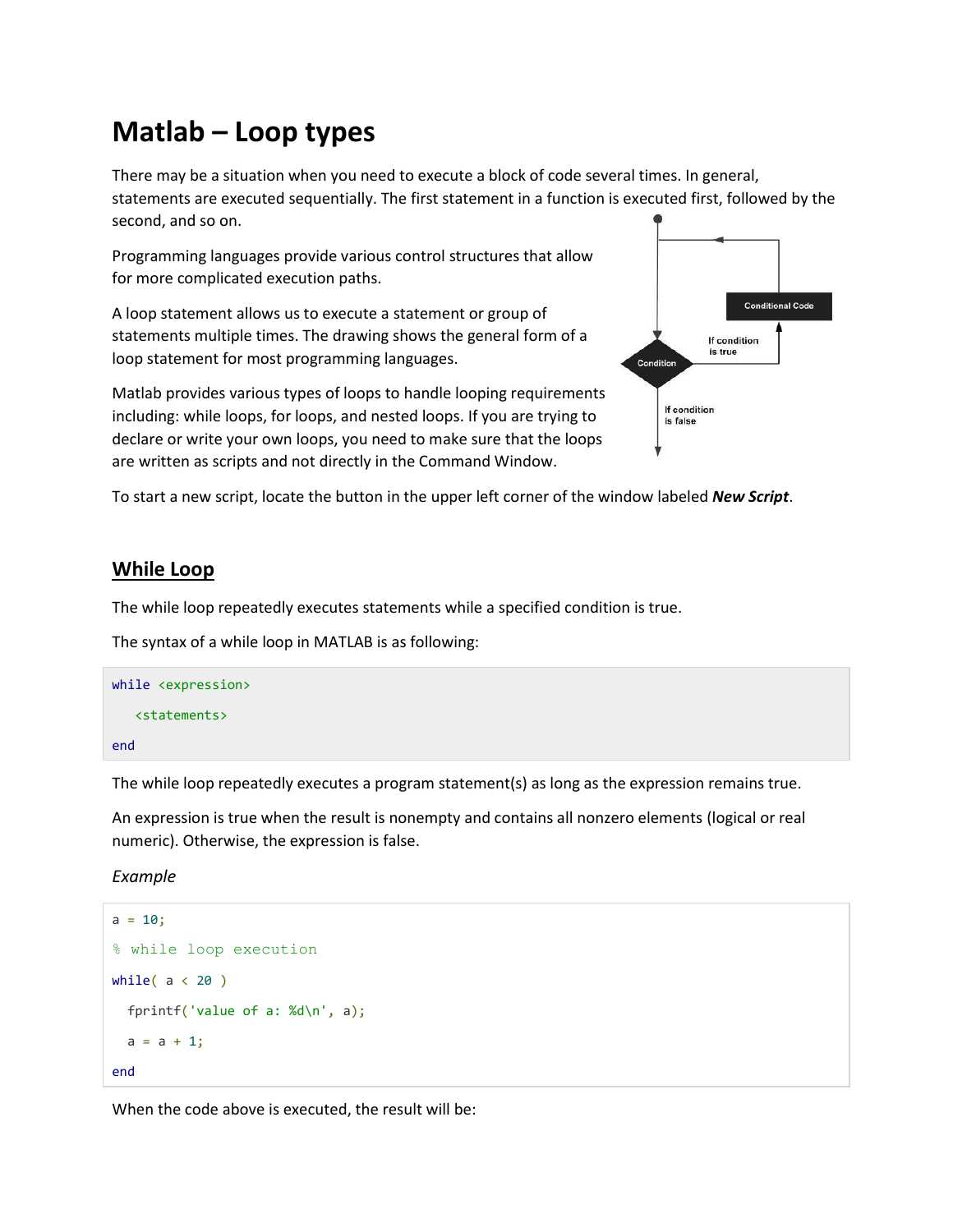# **Matlab – Loop types**

There may be a situation when you need to execute a block of code several times. In general, statements are executed sequentially. The first statement in a function is executed first, followed by the second, and so on.

Programming languages provide various control structures that allow for more complicated execution paths.

A loop statement allows us to execute a statement or group of statements multiple times. The drawing shows the general form of a loop statement for most programming languages.

**Conditional Code** If condition is true Condition If condition is false

Matlab provides various types of loops to handle looping requirements including: while loops, for loops, and nested loops. If you are trying to declare or write your own loops, you need to make sure that the loops are written as scripts and not directly in the Command Window.

To start a new script, locate the button in the upper left corner of the window labeled *New Script*.

# **While Loop**

The while loop repeatedly executes statements while a specified condition is true.

The syntax of a while loop in MATLAB is as following:

| while <expression></expression> |  |
|---------------------------------|--|
| <statements></statements>       |  |
| end                             |  |

The while loop repeatedly executes a program statement(s) as long as the expression remains true.

An expression is true when the result is nonempty and contains all nonzero elements (logical or real numeric). Otherwise, the expression is false.

*Example*

```
a = 10;% while loop execution 
while( a < 20 )
  fprintf('value of a: %d\n', a);
 a = a + 1;
end
```
When the code above is executed, the result will be: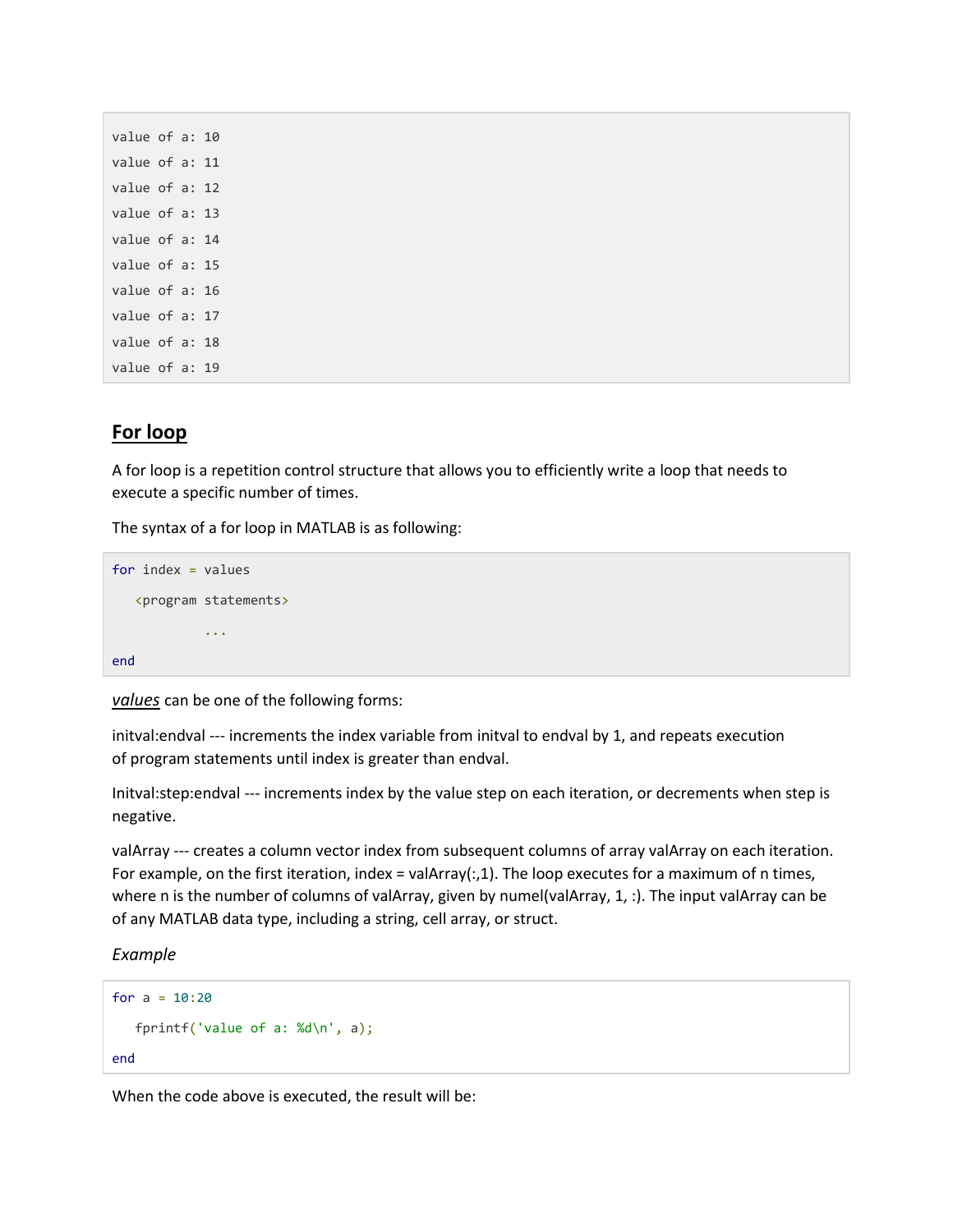```
value of a: 10
value of a: 11
value of a: 12
value of a: 13
value of a: 14
value of a: 15
value of a: 16
value of a: 17
value of a: 18
value of a: 19
```
## **For loop**

A for loop is a repetition control structure that allows you to efficiently write a loop that needs to execute a specific number of times.

The syntax of a for loop in MATLAB is as following:

```
for index = values <program statements>
              ...
end
```
*values* can be one of the following forms:

initval:endval --- increments the index variable from initval to endval by 1, and repeats execution of program statements until index is greater than endval.

Initval:step:endval --- increments index by the value step on each iteration, or decrements when step is negative.

valArray --- creates a column vector index from subsequent columns of array valArray on each iteration. For example, on the first iteration, index = valArray(:,1). The loop executes for a maximum of n times, where n is the number of columns of valArray, given by numel(valArray, 1, :). The input valArray can be of any MATLAB data type, including a string, cell array, or struct.

*Example*

```
for a = 10:20 fprintf('value of a: %d\n', a);
end
```
When the code above is executed, the result will be: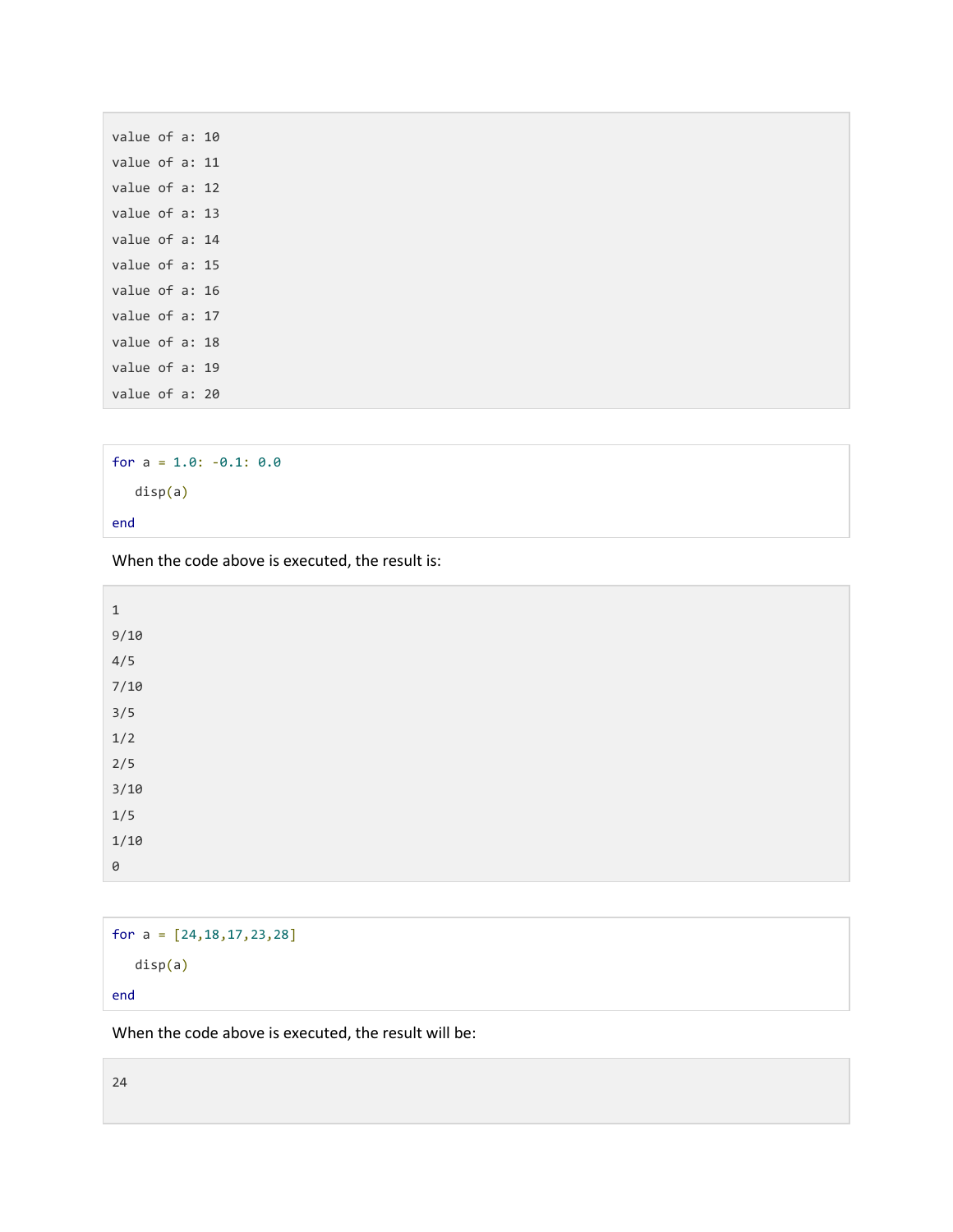| value of a: 10 |  |  |
|----------------|--|--|
| value of a: 11 |  |  |
| value of a: 12 |  |  |
| value of a: 13 |  |  |
| value of a: 14 |  |  |
| value of a: 15 |  |  |
| value of a: 16 |  |  |
| value of a: 17 |  |  |
| value of a: 18 |  |  |
| value of a: 19 |  |  |
| value of a: 20 |  |  |

```
for a = 1.0: -0.1: 0.0 disp(a)
end
```
When the code above is executed, the result is:

| $\mathbf 1$ |  |  |
|-------------|--|--|
| 9/10        |  |  |
| 4/5         |  |  |
| $7/10$      |  |  |
| $3/5$       |  |  |
| $1/2$       |  |  |
| $2/5$       |  |  |
| $3/10$      |  |  |
| $1/5$       |  |  |
| $1/10$      |  |  |
| $\Theta$    |  |  |

```
for a = [24, 18, 17, 23, 28] disp(a)
end
```
When the code above is executed, the result will be:

24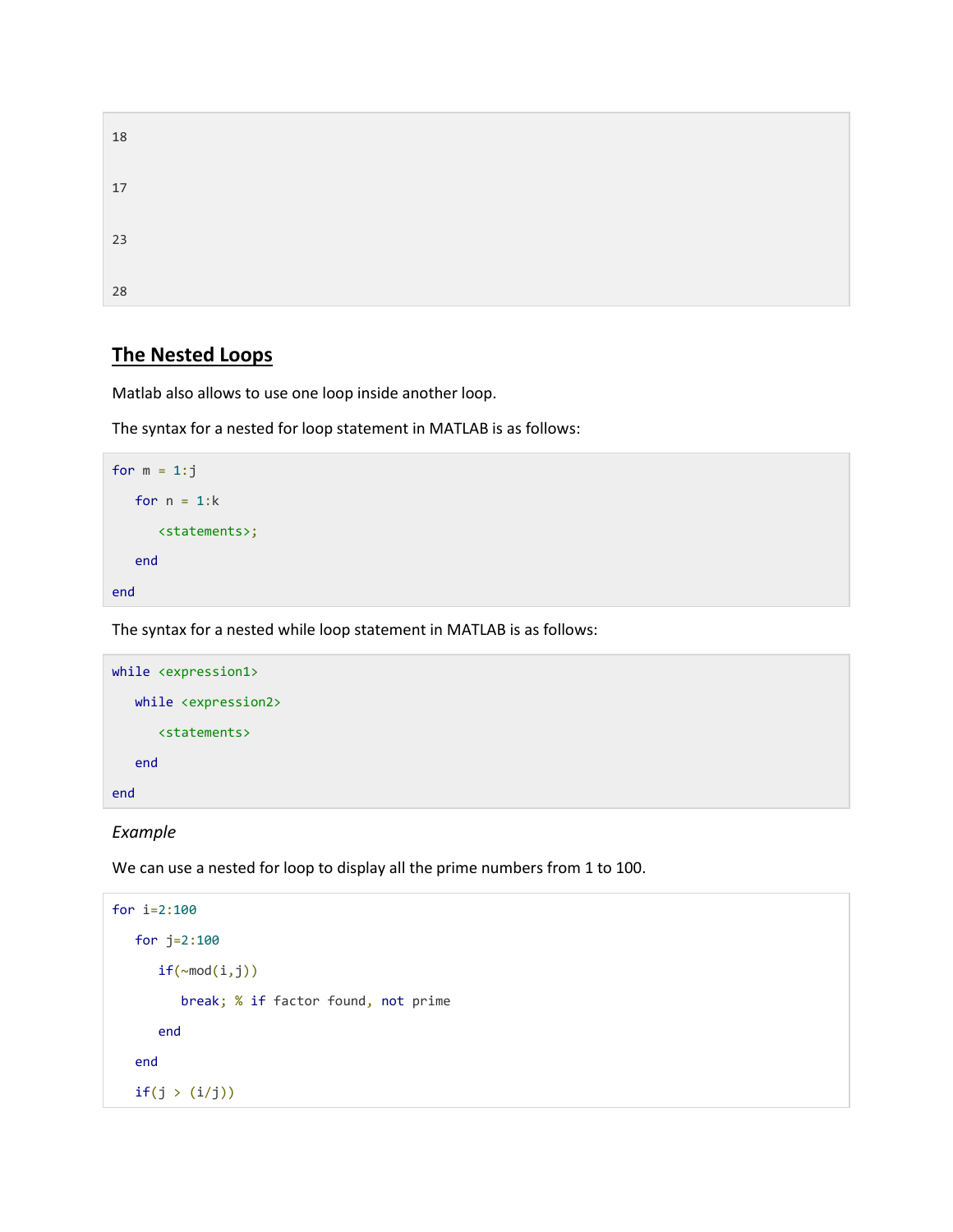| 18 |  |  |  |
|----|--|--|--|
| 17 |  |  |  |
| 23 |  |  |  |
| 28 |  |  |  |

# **The Nested Loops**

Matlab also allows to use one loop inside another loop.

The syntax for a nested for loop statement in MATLAB is as follows:

```
for m = 1: jfor n = 1:k <statements>;
    end
end
```
The syntax for a nested while loop statement in MATLAB is as follows:



## *Example*

We can use a nested for loop to display all the prime numbers from 1 to 100.

```
for i=2:100
    for j=2:100
      if(\sim mod(i,j)) break; % if factor found, not prime
       end
    end
   if(j > (i/j))
```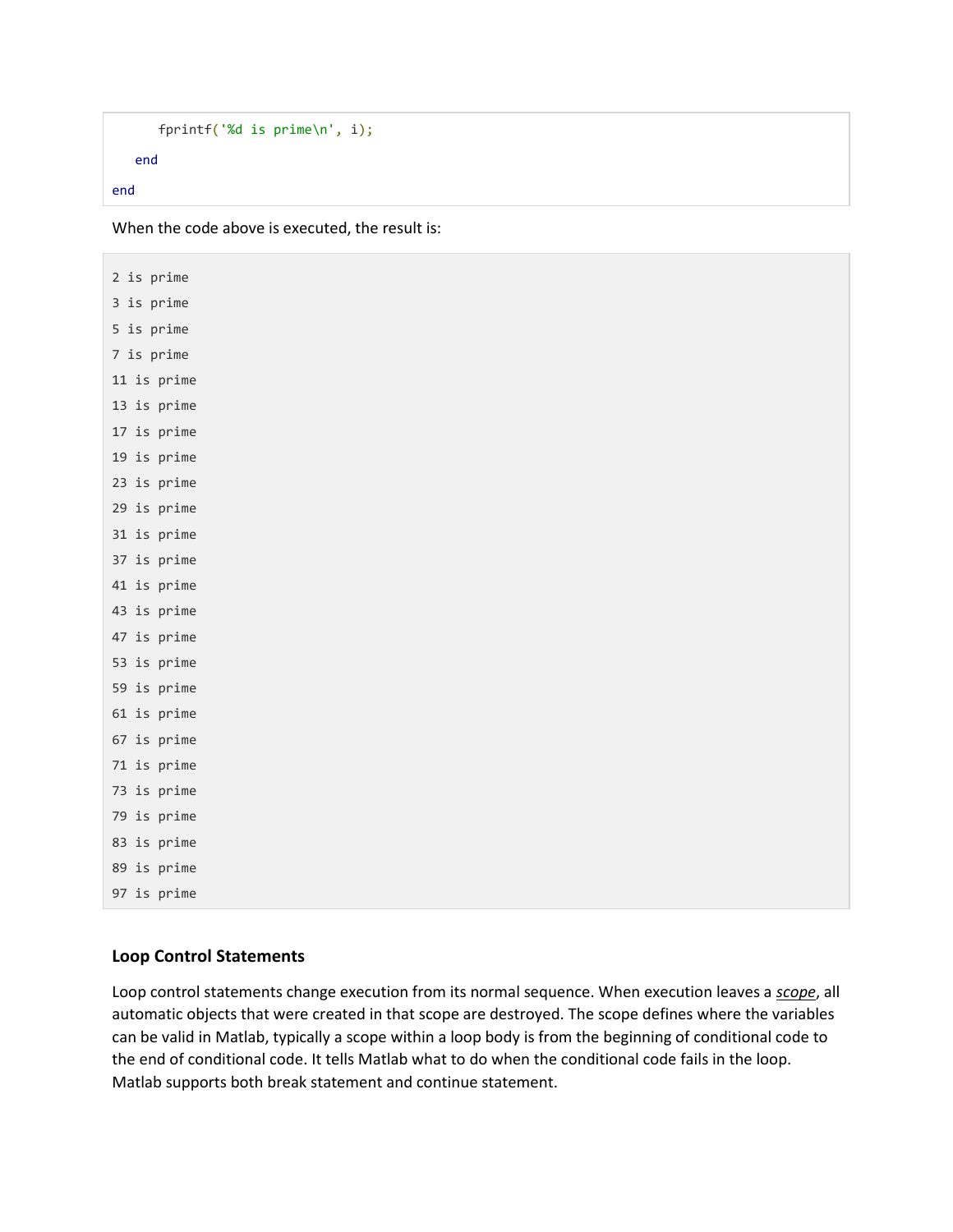```
 fprintf('%d is prime\n', i);
    end
end
```
When the code above is executed, the result is:

2 is prime 3 is prime 5 is prime 7 is prime 11 is prime 13 is prime 17 is prime 19 is prime 23 is prime 29 is prime 31 is prime 37 is prime 41 is prime 43 is prime 47 is prime 53 is prime 59 is prime 61 is prime 67 is prime 71 is prime 73 is prime 79 is prime 83 is prime 89 is prime 97 is prime

### **Loop Control Statements**

Loop control statements change execution from its normal sequence. When execution leaves a *scope*, all automatic objects that were created in that scope are destroyed. The scope defines where the variables can be valid in Matlab, typically a scope within a loop body is from the beginning of conditional code to the end of conditional code. It tells Matlab what to do when the conditional code fails in the loop. Matlab supports both break statement and continue statement.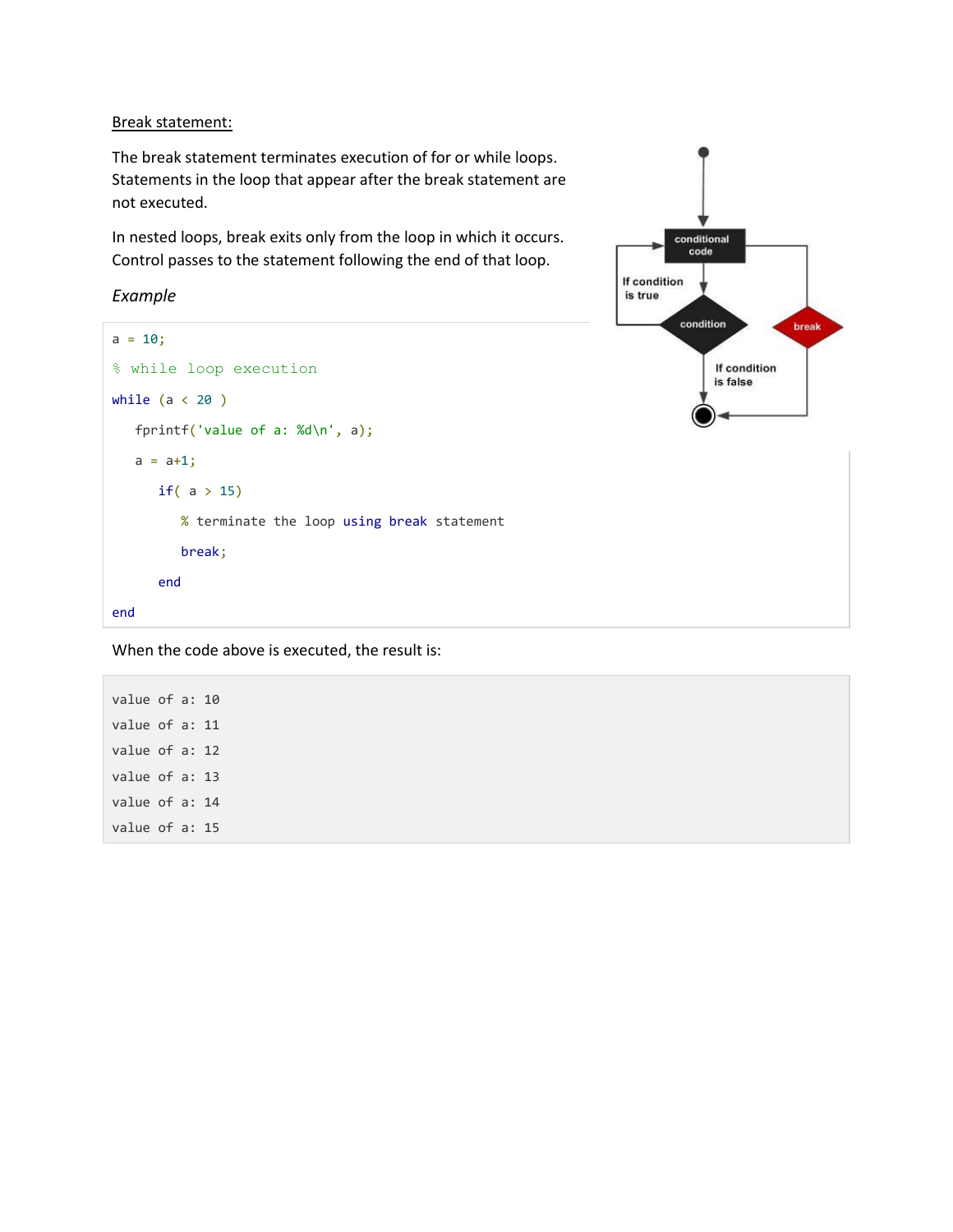Break statement:

The break statement terminates execution of for or while loops. Statements in the loop that appear after the break statement are not executed.

In nested loops, break exits only from the loop in which it occurs. Control passes to the statement following the end of that loop.

*Example*

```
a = 10;% while loop execution 
while (a < 20) fprintf('value of a: %d\n', a);
  a = a + 1;if( a > 15) % terminate the loop using break statement 
          break;
       end
end
```


When the code above is executed, the result is:

value of a: 10 value of a: 11 value of a: 12 value of a: 13 value of a: 14 value of a: 15